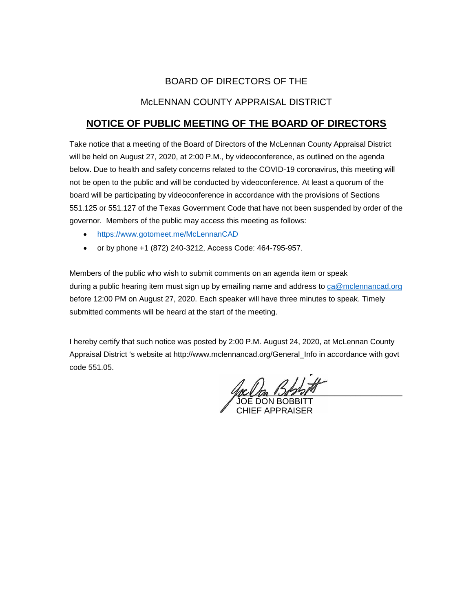## BOARD OF DIRECTORS OF THE

### McLENNAN COUNTY APPRAISAL DISTRICT

# **NOTICE OF PUBLIC MEETING OF THE BOARD OF DIRECTORS**

Take notice that a meeting of the Board of Directors of the McLennan County Appraisal District will be held on August 27, 2020, at 2:00 P.M., by videoconference, as outlined on the agenda below. Due to health and safety concerns related to the COVID-19 coronavirus, this meeting will not be open to the public and will be conducted by videoconference. At least a quorum of the board will be participating by videoconference in accordance with the provisions of Sections 551.125 or 551.127 of the Texas Government Code that have not been suspended by order of the governor. Members of the public may access this meeting as follows:

- <https://www.gotomeet.me/McLennanCAD>
- or by phone +1 (872) 240-3212, Access Code: 464-795-957.

Members of the public who wish to submit comments on an agenda item or speak during a public hearing item must sign up by emailing name and address to [ca@mclennancad.org](mailto:ca@mclennancad.org) before 12:00 PM on August 27, 2020. Each speaker will have three minutes to speak. Timely submitted comments will be heard at the start of the meeting.

I hereby certify that such notice was posted by 2:00 P.M. August 24, 2020, at McLennan County Appraisal District 's website at http://www.mclennancad.org/General\_Info in accordance with govt code 551.05.

rella Dedorio

JOE DON BOBBITT CHIEF APPRAISER